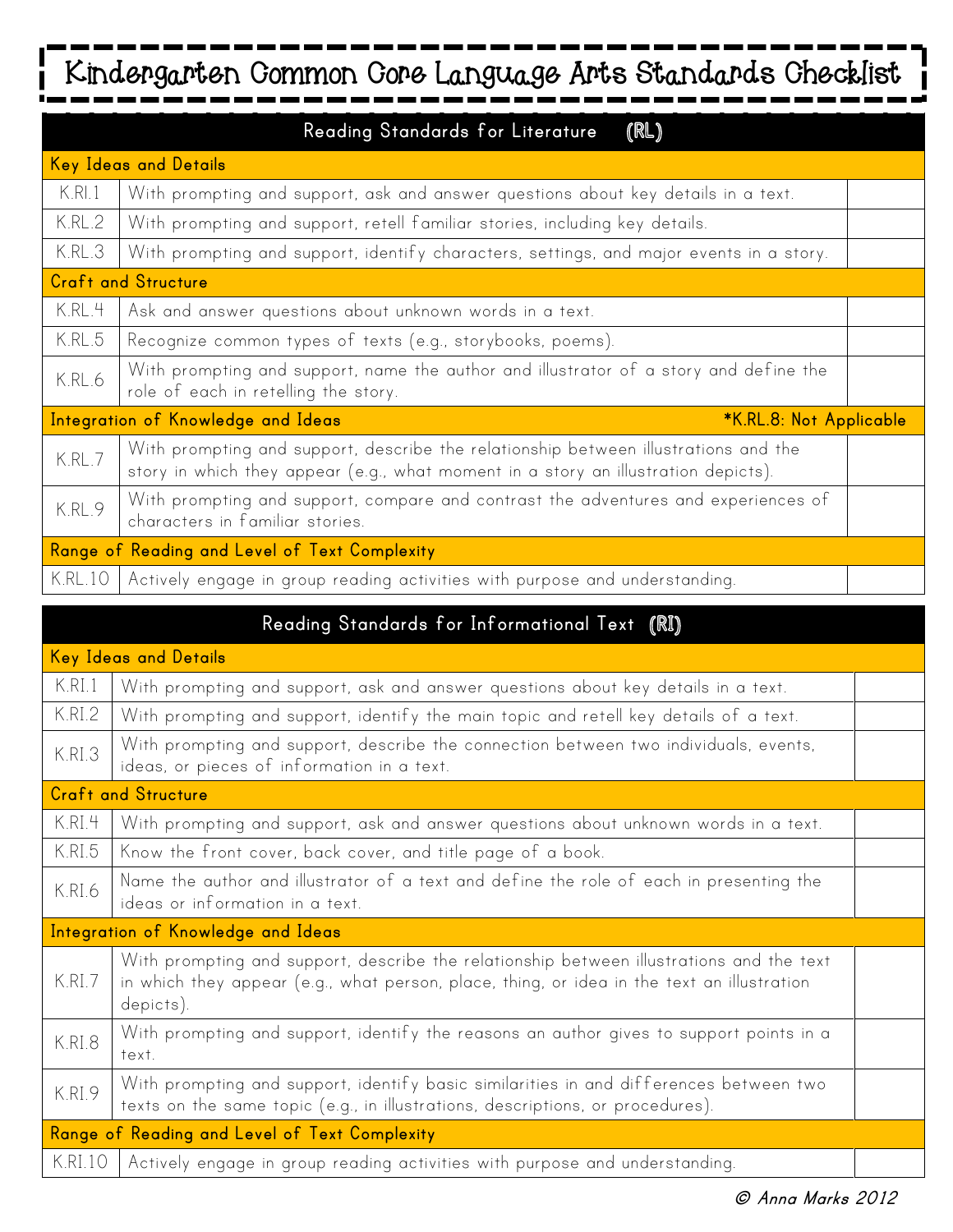## ---**Kindergarten Common Core Language Arts Standards Checklist**

|                                                               | Reading Standards for Literature<br>(RL)                                                                                                                                  |  |
|---------------------------------------------------------------|---------------------------------------------------------------------------------------------------------------------------------------------------------------------------|--|
| <b>Key Ideas and Details</b>                                  |                                                                                                                                                                           |  |
| K.RI.1                                                        | With prompting and support, ask and answer questions about key details in a text.                                                                                         |  |
| K.RL.2                                                        | With prompting and support, retell familiar stories, including key details.                                                                                               |  |
| K.RL.3                                                        | With prompting and support, identify characters, settings, and major events in a story.                                                                                   |  |
|                                                               | <b>Craft and Structure</b>                                                                                                                                                |  |
| K.RL.4                                                        | Ask and answer questions about unknown words in a text.                                                                                                                   |  |
| K.RL.5                                                        | Recognize common types of texts (e.g., storybooks, poems).                                                                                                                |  |
| K.RL.6                                                        | With prompting and support, name the author and illustrator of a story and define the<br>role of each in retelling the story.                                             |  |
| Integration of Knowledge and Ideas<br>*K.RL.8: Not Applicable |                                                                                                                                                                           |  |
| K.RL.7                                                        | With prompting and support, describe the relationship between illustrations and the<br>story in which they appear (e.g., what moment in a story an illustration depicts). |  |
| K.RL.9                                                        | With prompting and support, compare and contrast the adventures and experiences of<br>characters in familiar stories.                                                     |  |
|                                                               | Range of Reading and Level of Text Complexity                                                                                                                             |  |
| <b>K.RL.10</b>                                                | Actively engage in group reading activities with purpose and understanding.                                                                                               |  |

|                                               | Reading Standards for Informational Text (RI)                                                                                                                                                       |  |  |
|-----------------------------------------------|-----------------------------------------------------------------------------------------------------------------------------------------------------------------------------------------------------|--|--|
| Key Ideas and Details                         |                                                                                                                                                                                                     |  |  |
| K.RI.1                                        | With prompting and support, ask and answer questions about key details in a text.                                                                                                                   |  |  |
| K.RI.2                                        | With prompting and support, identify the main topic and retell key details of a text.                                                                                                               |  |  |
| K.RI.3                                        | With prompting and support, describe the connection between two individuals, events,<br>ideas, or pieces of information in a text.                                                                  |  |  |
| <b>Craft and Structure</b>                    |                                                                                                                                                                                                     |  |  |
| K.RI.4                                        | With prompting and support, ask and answer questions about unknown words in a text.                                                                                                                 |  |  |
| K.RI.5                                        | Know the front cover, back cover, and title page of a book.                                                                                                                                         |  |  |
| K.RI.6                                        | Name the author and illustrator of a text and define the role of each in presenting the<br>ideas or information in a text.                                                                          |  |  |
|                                               | Integration of Knowledge and Ideas                                                                                                                                                                  |  |  |
| K.RI.7                                        | With prompting and support, describe the relationship between illustrations and the text<br>in which they appear (e.g., what person, place, thing, or idea in the text an illustration<br>depicts). |  |  |
| K.RI.8                                        | With prompting and support, identify the reasons an author gives to support points in a<br>text.                                                                                                    |  |  |
| K.RI.9                                        | With prompting and support, identify basic similarities in and differences between two<br>texts on the same topic (e.g., in illustrations, descriptions, or procedures).                            |  |  |
| Range of Reading and Level of Text Complexity |                                                                                                                                                                                                     |  |  |
| K.RI.10                                       | Actively engage in group reading activities with purpose and understanding.                                                                                                                         |  |  |

 $\blacksquare$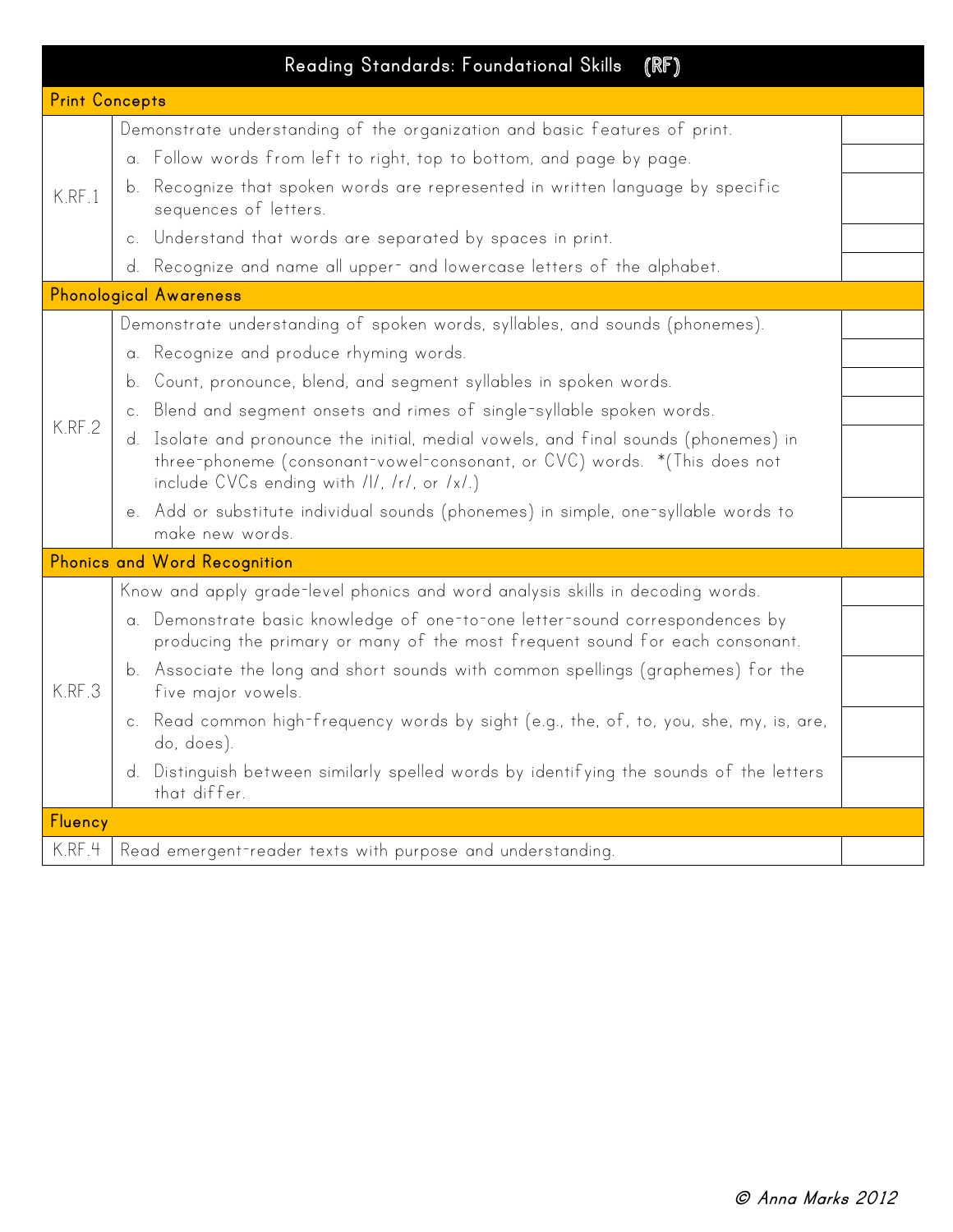|                |  | (RF)<br>Reading Standards: Foundational Skills                                                                                                                                                                 |  |
|----------------|--|----------------------------------------------------------------------------------------------------------------------------------------------------------------------------------------------------------------|--|
| Print Concepts |  |                                                                                                                                                                                                                |  |
| K.RF.1         |  | Demonstrate understanding of the organization and basic features of print.                                                                                                                                     |  |
|                |  | a. Follow words from left to right, top to bottom, and page by page.                                                                                                                                           |  |
|                |  | b. Recognize that spoken words are represented in written language by specific<br>sequences of letters.                                                                                                        |  |
|                |  | c. Understand that words are separated by spaces in print.                                                                                                                                                     |  |
|                |  | d. Recognize and name all upper- and lowercase letters of the alphabet.                                                                                                                                        |  |
|                |  | <b>Phonological Awareness</b>                                                                                                                                                                                  |  |
|                |  | Demonstrate understanding of spoken words, syllables, and sounds (phonemes).                                                                                                                                   |  |
|                |  | a. Recognize and produce rhyming words.                                                                                                                                                                        |  |
|                |  | b. Count, pronounce, blend, and segment syllables in spoken words.                                                                                                                                             |  |
|                |  | c. Blend and segment onsets and rimes of single-syllable spoken words.                                                                                                                                         |  |
| K.RF.2         |  | d. Isolate and pronounce the initial, medial vowels, and final sounds (phonemes) in<br>three-phoneme (consonant-vowel-consonant, or CVC) words. *(This does not<br>include CVCs ending with /l/, /r/, or /x/.) |  |
|                |  | e. Add or substitute individual sounds (phonemes) in simple, one-syllable words to<br>make new words.                                                                                                          |  |
|                |  | Phonics and Word Recognition                                                                                                                                                                                   |  |
|                |  | Know and apply grade-level phonics and word analysis skills in decoding words.                                                                                                                                 |  |
| K.RF.3         |  | a. Demonstrate basic knowledge of one-to-one letter-sound correspondences by<br>producing the primary or many of the most frequent sound for each consonant.                                                   |  |
|                |  | b. Associate the long and short sounds with common spellings (graphemes) for the<br>five major vowels.                                                                                                         |  |
|                |  | c. Read common high-frequency words by sight (e.g., the, of, to, you, she, my, is, are,<br>do, does).                                                                                                          |  |
|                |  | d. Distinguish between similarly spelled words by identifying the sounds of the letters<br>that differ.                                                                                                        |  |
| Fluency        |  |                                                                                                                                                                                                                |  |
| K.RF.4         |  | Read emergent-reader texts with purpose and understanding.                                                                                                                                                     |  |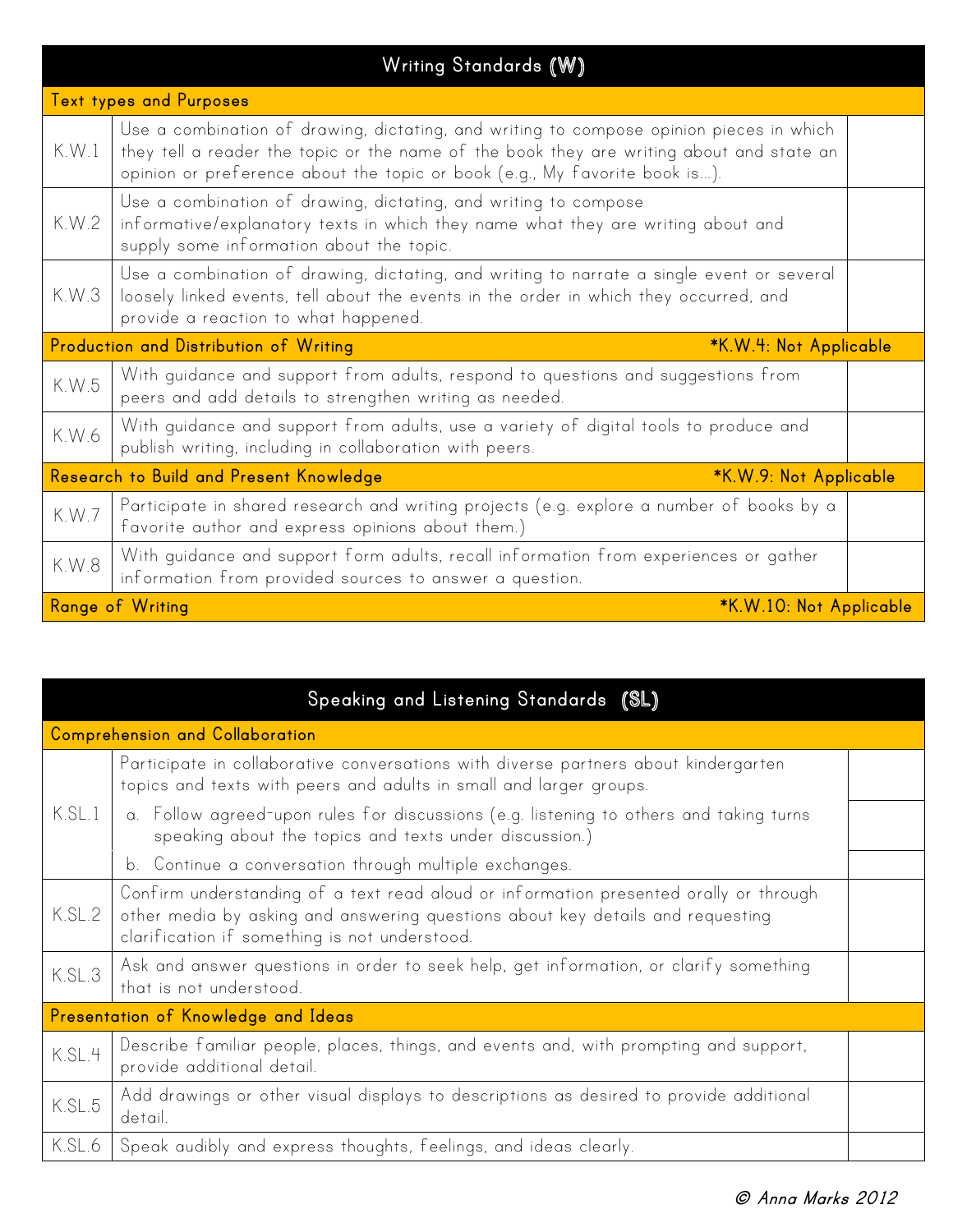|                                                                   | Writing Standards (W)                                                                                                                                                                                                                                             |  |  |
|-------------------------------------------------------------------|-------------------------------------------------------------------------------------------------------------------------------------------------------------------------------------------------------------------------------------------------------------------|--|--|
| <b>Text types and Purposes</b>                                    |                                                                                                                                                                                                                                                                   |  |  |
| K.W.1                                                             | Use a combination of drawing, dictating, and writing to compose opinion pieces in which<br>they tell a reader the topic or the name of the book they are writing about and state an<br>opinion or preference about the topic or book (e.g., My favorite book is). |  |  |
| K.W.2                                                             | Use a combination of drawing, dictating, and writing to compose<br>informative/explanatory texts in which they name what they are writing about and<br>supply some information about the topic.                                                                   |  |  |
| K.W.3                                                             | Use a combination of drawing, dictating, and writing to narrate a single event or several<br>loosely linked events, tell about the events in the order in which they occurred, and<br>provide a reaction to what happened.                                        |  |  |
| Production and Distribution of Writing<br>*K.W.4: Not Applicable  |                                                                                                                                                                                                                                                                   |  |  |
| K.W.5                                                             | With guidance and support from adults, respond to questions and suggestions from<br>peers and add details to strengthen writing as needed.                                                                                                                        |  |  |
| K.W.6                                                             | With quidance and support from adults, use a variety of digital tools to produce and<br>publish writing, including in collaboration with peers.                                                                                                                   |  |  |
| Research to Build and Present Knowledge<br>*K.W.9: Not Applicable |                                                                                                                                                                                                                                                                   |  |  |
| K.W.7                                                             | Participate in shared research and writing projects (e.g. explore a number of books by a<br>favorite author and express opinions about them.)                                                                                                                     |  |  |
| K.W.8                                                             | With guidance and support form adults, recall information from experiences or gather<br>information from provided sources to answer a question.                                                                                                                   |  |  |
| <b>Range of Writing</b><br>*K.W.10: Not Applicable                |                                                                                                                                                                                                                                                                   |  |  |

|        | Speaking and Listening Standards (SL)                                                                                                                                                                                    |  |  |  |
|--------|--------------------------------------------------------------------------------------------------------------------------------------------------------------------------------------------------------------------------|--|--|--|
|        | Comprehension and Collaboration                                                                                                                                                                                          |  |  |  |
|        | Participate in collaborative conversations with diverse partners about kindergarten<br>topics and texts with peers and adults in small and larger groups.                                                                |  |  |  |
| K.SL.1 | a. Follow agreed-upon rules for discussions (e.g. listening to others and taking turns<br>speaking about the topics and texts under discussion.)                                                                         |  |  |  |
|        | b. Continue a conversation through multiple exchanges.                                                                                                                                                                   |  |  |  |
| K.SL.2 | Confirm understanding of a text read aloud or information presented orally or through<br>other media by asking and answering questions about key details and requesting<br>clarification if something is not understood. |  |  |  |
| K.SL.3 | Ask and answer questions in order to seek help, get information, or clarify something<br>that is not understood.                                                                                                         |  |  |  |
|        | Presentation of Knowledge and Ideas                                                                                                                                                                                      |  |  |  |
| K.SL.4 | Describe familiar people, places, things, and events and, with prompting and support,<br>provide additional detail.                                                                                                      |  |  |  |
| K.SL.5 | Add drawings or other visual displays to descriptions as desired to provide additional<br>detail.                                                                                                                        |  |  |  |
| K.SL.6 | Speak audibly and express thoughts, feelings, and ideas clearly.                                                                                                                                                         |  |  |  |